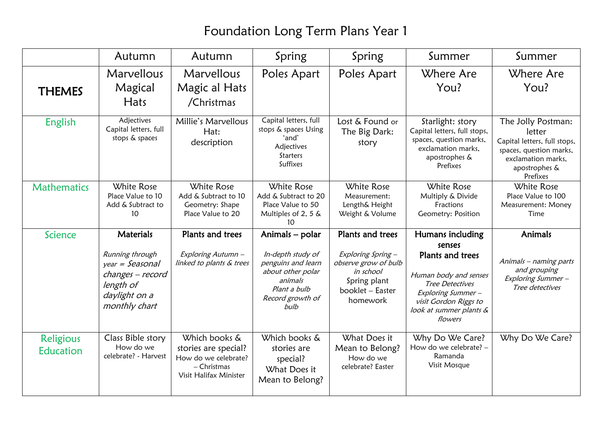## Foundation Long Term Plans Year 1

|                        | Autumn                                                                                                                      | Autumn                                                                                                   | Spring                                                                                                                                 | Spring                                                                                                                      | Summer                                                                                                                                                                         | Summer                                                                                                                                     |
|------------------------|-----------------------------------------------------------------------------------------------------------------------------|----------------------------------------------------------------------------------------------------------|----------------------------------------------------------------------------------------------------------------------------------------|-----------------------------------------------------------------------------------------------------------------------------|--------------------------------------------------------------------------------------------------------------------------------------------------------------------------------|--------------------------------------------------------------------------------------------------------------------------------------------|
| <b>THEMES</b>          | Marvellous<br>Magical<br>Hats                                                                                               | Marvellous<br>Magic al Hats<br>/Christmas                                                                | Poles Apart                                                                                                                            | Poles Apart                                                                                                                 | Where Are<br>You?                                                                                                                                                              | Where Are<br>You?                                                                                                                          |
| English                | Adjectives<br>Capital letters, full<br>stops & spaces                                                                       | Millie's Marvellous<br>Hat:<br>description                                                               | Capital letters, full<br>stops & spaces Using<br>'and'<br>Adjectives<br><b>Starters</b><br>Suffixes                                    | Lost & Found or<br>The Big Dark:<br>story                                                                                   | Starlight: story<br>Capital letters, full stops,<br>spaces, question marks,<br>exclamation marks,<br>apostrophes &<br>Prefixes                                                 | The Jolly Postman:<br>letter<br>Capital letters, full stops,<br>spaces, question marks,<br>exclamation marks,<br>apostrophes &<br>Prefixes |
| <b>Mathematics</b>     | <b>White Rose</b><br>Place Value to 10<br>Add & Subtract to<br>10                                                           | White Rose<br>Add & Subtract to 10<br>Geometry: Shape<br>Place Value to 20                               | White Rose<br>Add & Subtract to 20<br>Place Value to 50<br>Multiples of 2, 5 &<br>10                                                   | White Rose<br>Measurement:<br>Length& Height<br>Weight & Volume                                                             | <b>White Rose</b><br>Multiply & Divide<br>Fractions<br>Geometry: Position                                                                                                      | White Rose<br>Place Value to 100<br>Measurement: Money<br>Time                                                                             |
| Science                | <b>Materials</b><br>Running through<br>$year = Seasonal$<br>changes - record<br>length of<br>daylight on a<br>monthly chart | Plants and trees<br>Exploring Autumn -<br>linked to plants & trees                                       | Animals - polar<br>In-depth study of<br>penguins and learn<br>about other polar<br>animals<br>Plant a bulb<br>Record growth of<br>bulb | Plants and trees<br>Exploring Spring -<br>observe grow of bulb<br>in school<br>Spring plant<br>booklet - Easter<br>homework | Humans including<br>senses<br>Plants and trees<br>Human body and senses<br>Tree Detectives<br>Exploring Summer-<br>visit Gordon Riggs to<br>look at summer plants &<br>flowers | <b>Animals</b><br>Animals - naming parts<br>and grouping<br>Exploring Summer-<br>Tree detectives                                           |
| Religious<br>Education | Class Bible story<br>How do we<br>celebrate? - Harvest                                                                      | Which books &<br>stories are special?<br>How do we celebrate?<br>$-$ Christmas<br>Visit Halifax Minister | Which books &<br>stories are<br>special?<br>What Does it<br>Mean to Belong?                                                            | What Does it<br>Mean to Belong?<br>How do we<br>celebrate? Easter                                                           | Why Do We Care?<br>How do we celebrate? -<br>Ramanda<br>Visit Mosque                                                                                                           | Why Do We Care?                                                                                                                            |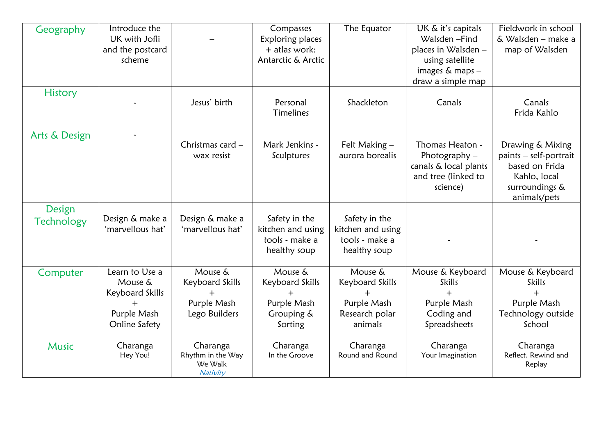| Geography                   | Introduce the<br>UK with Jofli<br>and the postcard<br>scheme                      |                                                            | Compasses<br>Exploring places<br>+ atlas work:<br>Antarctic & Arctic | The Equator                                                            | UK & it's capitals<br>Walsden-Find<br>places in Walsden -<br>using satellite<br>images $&$ maps $-$<br>draw a simple map | Fieldwork in school<br>& Walsden - make a<br>map of Walsden                                                    |
|-----------------------------|-----------------------------------------------------------------------------------|------------------------------------------------------------|----------------------------------------------------------------------|------------------------------------------------------------------------|--------------------------------------------------------------------------------------------------------------------------|----------------------------------------------------------------------------------------------------------------|
| <b>History</b>              |                                                                                   | Jesus' birth                                               | Personal<br><b>Timelines</b>                                         | Shackleton                                                             | Canals                                                                                                                   | Canals<br>Frida Kahlo                                                                                          |
| Arts & Design               |                                                                                   | Christmas card -<br>wax resist                             | Mark Jenkins -<br>Sculptures                                         | Felt Making -<br>aurora borealis                                       | Thomas Heaton -<br>Photography $-$<br>canals & local plants<br>and tree (linked to<br>science)                           | Drawing & Mixing<br>paints - self-portrait<br>based on Frida<br>Kahlo, local<br>surroundings &<br>animals/pets |
| Design<br><b>Technology</b> | Design & make a<br>'marvellous hat'                                               | Design & make a<br>'marvellous hat'                        | Safety in the<br>kitchen and using<br>tools - make a<br>healthy soup | Safety in the<br>kitchen and using<br>tools - make a<br>healthy soup   |                                                                                                                          |                                                                                                                |
| Computer                    | Learn to Use a<br>Mouse &<br>Keyboard Skills<br>┿<br>Purple Mash<br>Online Safety | Mouse &<br>Keyboard Skills<br>Purple Mash<br>Lego Builders | Mouse &<br>Keyboard Skills<br>Purple Mash<br>Grouping &<br>Sorting   | Mouse &<br>Keyboard Skills<br>Purple Mash<br>Research polar<br>animals | Mouse & Keyboard<br>Skills<br>$+$<br>Purple Mash<br>Coding and<br>Spreadsheets                                           | Mouse & Keyboard<br><b>Skills</b><br>$+$<br>Purple Mash<br>Technology outside<br>School                        |
| <b>Music</b>                | Charanga<br>Hey You!                                                              | Charanga<br>Rhythm in the Way<br>We Walk<br>Nativity       | Charanga<br>In the Groove                                            | Charanga<br>Round and Round                                            | Charanga<br>Your Imagination                                                                                             | Charanga<br>Reflect, Rewind and<br>Replay                                                                      |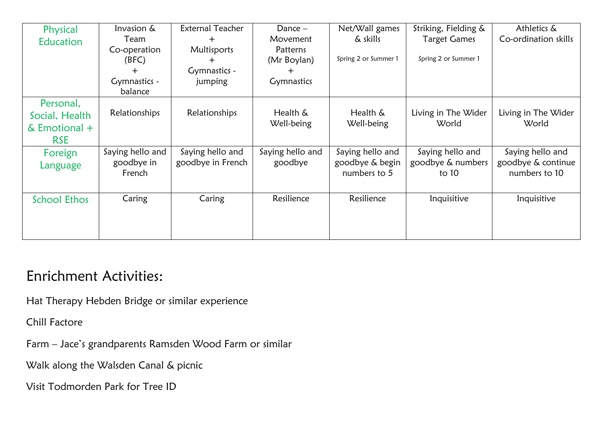| Physical                                                     | Invasion &<br>Team                       | <b>External Teacher</b><br>$\pm$      | Dance $-$<br>Movement       | Net/Wall games<br>& skills                          | Striking, Fielding &<br><b>Target Games</b>    | Athletics &<br>Co-ordination skills                     |
|--------------------------------------------------------------|------------------------------------------|---------------------------------------|-----------------------------|-----------------------------------------------------|------------------------------------------------|---------------------------------------------------------|
| <b>Education</b>                                             | Co-operation<br>(BFC)                    | Multisports<br>┿                      | Patterns<br>(Mr Boylan)     | Spring 2 or Summer 1                                | Spring 2 or Summer 1                           |                                                         |
|                                                              | ┿<br>Gymnastics -                        | Gymnastics -<br>jumping               | <b>Gymnastics</b>           |                                                     |                                                |                                                         |
|                                                              | balance                                  |                                       |                             |                                                     |                                                |                                                         |
| Personal,<br>Social, Health<br>$&$ Emotional +<br><b>RSE</b> | Relationships                            | Relationships                         | Health &<br>Well-being      | Health &<br>Well-being                              | Living in The Wider<br>World                   | Living in The Wider<br>World                            |
| Foreign<br>Language                                          | Saying hello and<br>goodbye in<br>French | Saying hello and<br>goodbye in French | Saying hello and<br>goodbye | Saying hello and<br>goodbye & begin<br>numbers to 5 | Saying hello and<br>goodbye & numbers<br>to 10 | Saying hello and<br>goodbye & continue<br>numbers to 10 |
| <b>School Ethos</b>                                          | Caring                                   | Caring                                | Resilience                  | Resilience                                          | Inquisitive                                    | Inquisitive                                             |

## Enrichment Activities:

Hat Therapy Hebden Bridge or similar experience

Chill Factore

Farm – Jace's grandparents Ramsden Wood Farm or similar

Walk along the Walsden Canal & picnic

Visit Todmorden Park for Tree ID